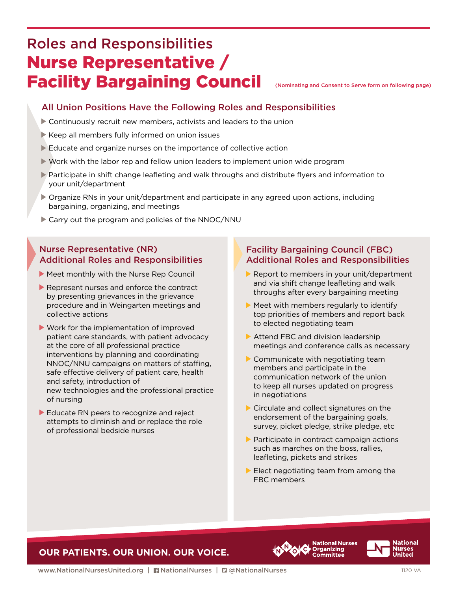# Roles and Responsibilities Nurse Representative / Facility Bargaining Council

(Nominating and Consent to Serve form on following page)

## All Union Positions Have the Following Roles and Responsibilities

- Continuously recruit new members, activists and leaders to the union
- $\blacktriangleright$  Keep all members fully informed on union issues
- Educate and organize nurses on the importance of collective action
- $\blacktriangleright$  Work with the labor rep and fellow union leaders to implement union wide program
- Participate in shift change leafleting and walk throughs and distribute flyers and information to your unit/department
- Organize RNs in your unit/department and participate in any agreed upon actions, including bargaining, organizing, and meetings
- ▶ Carry out the program and policies of the NNOC/NNU

#### Nurse Representative (NR) Additional Roles and Responsibilities

- **Meet monthly with the Nurse Rep Council**
- Represent nurses and enforce the contract by presenting grievances in the grievance procedure and in Weingarten meetings and collective actions
- Work for the implementation of improved patient care standards, with patient advocacy at the core of all professional practice interventions by planning and coordinating NNOC/NNU campaigns on matters of staffing, safe effective delivery of patient care, health and safety, introduction of new technologies and the professional practice of nursing
- Educate RN peers to recognize and reject attempts to diminish and or replace the role of professional bedside nurses

#### Facility Bargaining Council (FBC) Additional Roles and Responsibilities

- $\blacktriangleright$  Report to members in your unit/department and via shift change leafleting and walk throughs after every bargaining meeting
- $\triangleright$  Meet with members regularly to identify top priorities of members and report back to elected negotiating team
- Attend FBC and division leadership meetings and conference calls as necessary
- Communicate with negotiating team members and participate in the communication network of the union to keep all nurses updated on progress in negotiations
- ▶ Circulate and collect signatures on the endorsement of the bargaining goals, survey, picket pledge, strike pledge, etc
- $\blacktriangleright$  Participate in contract campaign actions such as marches on the boss, rallies, leafleting, pickets and strikes
- $\blacktriangleright$  Elect negotiating team from among the FBC members

### **OUR PATIENTS. OUR UNION. OUR VOICE.**